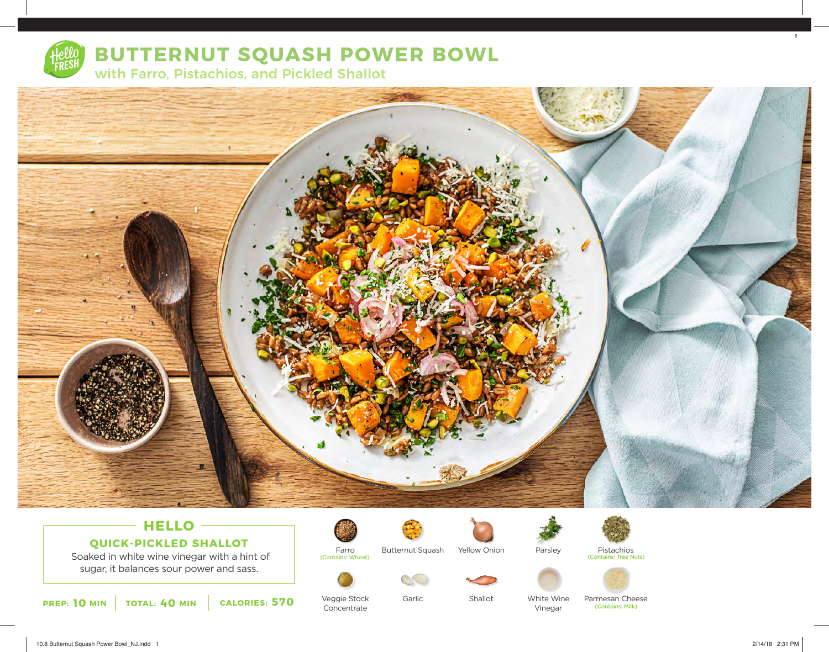

## **BUTTERNUT SQUASH POWER BOWL**

with Farro, Pistachios, and Pickled Shallot



## **HELLO QUICK-PICKLED SHALLOT**

 Soaked in white wine vinegar with a hint of sugar, it balances sour power and sass.



Veggie Stock Concentrate

Farro

(Contains: Wheat)

Butternut Squash

Garlic



Parsley



(Contains: Tree Nuts)





White Wine Vinegar Parmesan Cheese (Contains: Milk)

8